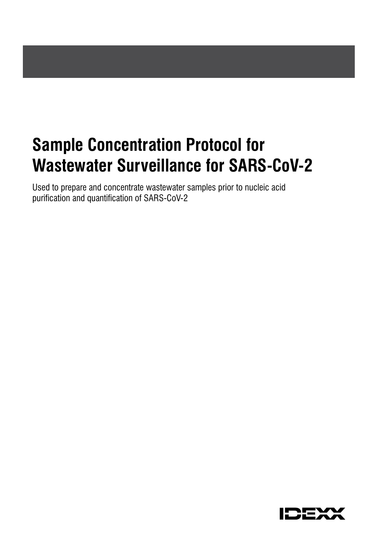# **Sample Concentration Protocol for Wastewater Surveillance for SARS-CoV-2**

Used to prepare and concentrate wastewater samples prior to nucleic acid purification and quantification of SARS-CoV-2

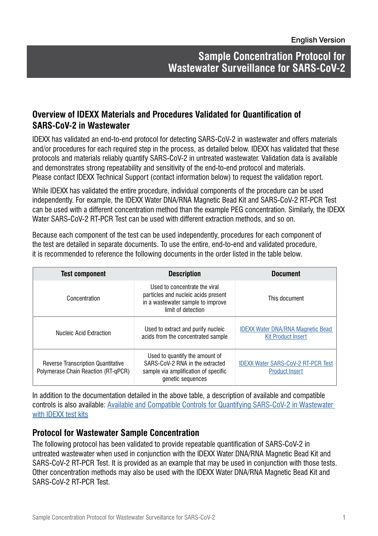## **Sample Concentration Protocol for Wastewater Surveillance for SARS-CoV-2**

#### **Overview of IDEXX Materials and Procedures Validated for Quantification of SARS-CoV-2 in Wastewater**

IDEXX has validated an end-to-end protocol for detecting SARS-CoV-2 in wastewater and offers materials and/or procedures for each required step in the process, as detailed below. IDEXX has validated that these protocols and materials reliably quantify SARS-CoV-2 in untreated wastewater. Validation data is available and demonstrates strong repeatability and sensitivity of the end-to-end protocol and materials. Please contact IDEXX Technical Support (contact information below) to request the validation report.

While IDEXX has validated the entire procedure, individual components of the procedure can be used independently. For example, the IDEXX Water DNA/RNA Magnetic Bead Kit and SARS-CoV-2 RT-PCR Test can be used with a different concentration method than the example PEG concentration. Similarly, the IDEXX Water SARS-CoV-2 RT-PCR Test can be used with different extraction methods, and so on.

Because each component of the test can be used independently, procedures for each component of the test are detailed in separate documents. To use the entire, end-to-end and validated procedure, it is recommended to reference the following documents in the order listed in the table below.

| <b>Test component</b>                                                            | <b>Description</b>                                                                                                              | <b>Document</b>                                                       |
|----------------------------------------------------------------------------------|---------------------------------------------------------------------------------------------------------------------------------|-----------------------------------------------------------------------|
| Concentration                                                                    | Used to concentrate the viral<br>particles and nucleic acids present<br>in a wastewater sample to improve<br>limit of detection | This document                                                         |
| Nucleic Acid Extraction                                                          | Used to extract and purify nucleic<br>acids from the concentrated sample                                                        | <b>IDEXX Water DNA/RNA Magnetic Bead</b><br><b>Kit Product Insert</b> |
| <b>Reverse Transcription Quantitative</b><br>Polymerase Chain Reaction (RT-qPCR) | Used to quantify the amount of<br>SARS-CoV-2 RNA in the extracted<br>sample via amplification of specific<br>genetic sequences  | <b>IDEXX Water SARS-CoV-2 RT-PCR Test</b><br><b>Product Insert</b>    |

In addition to the documentation detailed in the above table, a description of available and compatible controls is also available: [Available and Compatible Controls for Quantifying SARS-CoV-2 in Wastewater](https://www.idexx.com/water-sars-cov-2-controls/)  [with IDEXX test kits](https://www.idexx.com/water-sars-cov-2-controls/)

#### **Protocol for Wastewater Sample Concentration**

The following protocol has been validated to provide repeatable quantification of SARS-CoV-2 in untreated wastewater when used in conjunction with the IDEXX Water DNA/RNA Magnetic Bead Kit and SARS-CoV-2 RT-PCR Test. It is provided as an example that may be used in conjunction with those tests. Other concentration methods may also be used with the IDEXX Water DNA/RNA Magnetic Bead Kit and SARS-CoV-2 RT-PCR Test.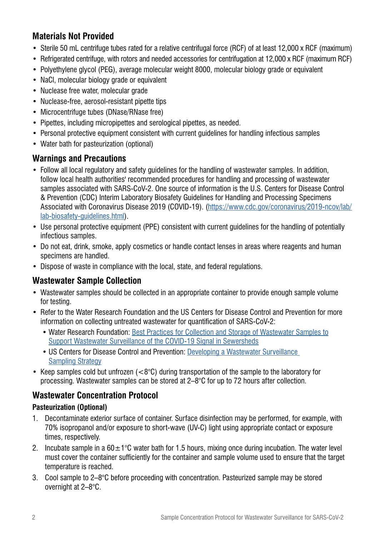## **Materials Not Provided**

- Sterile 50 mL centrifuge tubes rated for a relative centrifugal force (RCF) of at least 12,000 x RCF (maximum)
- Refrigerated centrifuge, with rotors and needed accessories for centrifugation at 12,000 x RCF (maximum RCF)
- Polyethylene glycol (PEG), average molecular weight 8000, molecular biology grade or equivalent
- NaCl, molecular biology grade or equivalent
- Nuclease free water, molecular grade
- Nuclease-free, aerosol-resistant pipette tips
- Microcentrifuge tubes (DNase/RNase free)
- Pipettes, including micropipettes and serological pipettes, as needed.
- Personal protective equipment consistent with current quidelines for handling infectious samples
- Water bath for pasteurization (optional)

#### **Warnings and Precautions**

- Follow all local regulatory and safety guidelines for the handling of wastewater samples. In addition, follow local health authorities' recommended procedures for handling and processing of wastewater samples associated with SARS-CoV-2. One source of information is the U.S. Centers for Disease Control & Prevention (CDC) Interim Laboratory Biosafety Guidelines for Handling and Processing Specimens Associated with Coronavirus Disease 2019 (COVID-19). [\(https://www.cdc.gov/coronavirus/2019-ncov/lab/](https://www.cdc.gov/coronavirus/2019-ncov/lab/lab-biosafety-guidelines.html) [lab-biosafety-guidelines.html\)](https://www.cdc.gov/coronavirus/2019-ncov/lab/lab-biosafety-guidelines.html).
- Use personal protective equipment (PPE) consistent with current guidelines for the handling of potentially infectious samples.
- Do not eat, drink, smoke, apply cosmetics or handle contact lenses in areas where reagents and human specimens are handled.
- Dispose of waste in compliance with the local, state, and federal regulations.

## **Wastewater Sample Collection**

- Wastewater samples should be collected in an appropriate container to provide enough sample volume for testing.
- Refer to the Water Research Foundation and the US Centers for Disease Control and Prevention for more information on collecting untreated wastewater for quantification of SARS-CoV-2:
	- Water Research Foundation: [Best Practices for Collection and Storage of Wastewater Samples to](https://www.waterrf.org/sites/default/files/file/2020-06/COVID-19_FieldSampleCollectionForm.pdf) [Support Wastewater Surveillance of the COVID-19 Signal in Sewersheds](https://www.waterrf.org/sites/default/files/file/2020-06/COVID-19_FieldSampleCollectionForm.pdf)
	- US Centers for Disease Control and Prevention: [Developing a Wastewater Surveillance](https://www.cdc.gov/coronavirus/2019-ncov/cases-updates/wastewater-surveillance/developing-a-wastewater-surveillance-sampling-strategy.html#anchor_1602855341209)  [Sampling Strategy](https://www.cdc.gov/coronavirus/2019-ncov/cases-updates/wastewater-surveillance/developing-a-wastewater-surveillance-sampling-strategy.html#anchor_1602855341209)
- Keep samples cold but unfrozen  $(<8^{\circ}C$ ) during transportation of the sample to the laboratory for processing. Wastewater samples can be stored at 2–8°C for up to 72 hours after collection.

## **Wastewater Concentration Protocol**

#### **Pasteurization (Optional)**

- 1. Decontaminate exterior surface of container. Surface disinfection may be performed, for example, with 70% isopropanol and/or exposure to short-wave (UV-C) light using appropriate contact or exposure times, respectively.
- 2. Incubate sample in a  $60\pm1\degree$ C water bath for 1.5 hours, mixing once during incubation. The water level must cover the container sufficiently for the container and sample volume used to ensure that the target temperature is reached.
- 3. Cool sample to 2–8°C before proceeding with concentration. Pasteurized sample may be stored overnight at 2–8°C.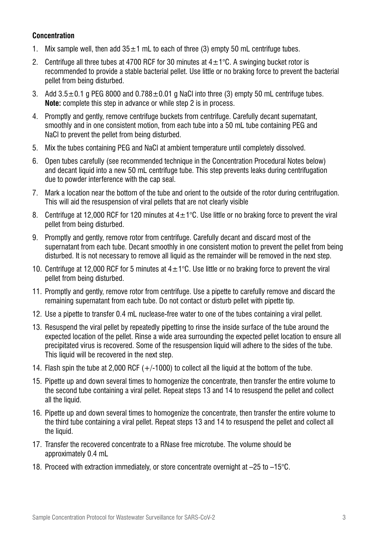#### **Concentration**

- 1. Mix sample well, then add  $35\pm1$  mL to each of three (3) empty 50 mL centrifuge tubes.
- 2. Centrifuge all three tubes at 4700 RCF for 30 minutes at  $4+1\degree$ C. A swinging bucket rotor is recommended to provide a stable bacterial pellet. Use little or no braking force to prevent the bacterial pellet from being disturbed.
- 3. Add  $3.5\pm0.1$  g PEG 8000 and  $0.788\pm0.01$  g NaCl into three (3) empty 50 mL centrifuge tubes. **Note:** complete this step in advance or while step 2 is in process.
- 4. Promptly and gently, remove centrifuge buckets from centrifuge. Carefully decant supernatant, smoothly and in one consistent motion, from each tube into a 50 mL tube containing PEG and NaCl to prevent the pellet from being disturbed.
- 5. Mix the tubes containing PEG and NaCl at ambient temperature until completely dissolved.
- 6. Open tubes carefully (see recommended technique in the Concentration Procedural Notes below) and decant liquid into a new 50 mL centrifuge tube. This step prevents leaks during centrifugation due to powder interference with the cap seal.
- 7. Mark a location near the bottom of the tube and orient to the outside of the rotor during centrifugation. This will aid the resuspension of viral pellets that are not clearly visible
- 8. Centrifuge at 12,000 RCF for 120 minutes at  $4\pm1^{\circ}$ C. Use little or no braking force to prevent the viral pellet from being disturbed.
- 9. Promptly and gently, remove rotor from centrifuge. Carefully decant and discard most of the supernatant from each tube. Decant smoothly in one consistent motion to prevent the pellet from being disturbed. It is not necessary to remove all liquid as the remainder will be removed in the next step.
- 10. Centrifuge at 12,000 RCF for 5 minutes at  $4\pm1^{\circ}$ C. Use little or no braking force to prevent the viral pellet from being disturbed.
- 11. Promptly and gently, remove rotor from centrifuge. Use a pipette to carefully remove and discard the remaining supernatant from each tube. Do not contact or disturb pellet with pipette tip.
- 12. Use a pipette to transfer 0.4 mL nuclease-free water to one of the tubes containing a viral pellet.
- 13. Resuspend the viral pellet by repeatedly pipetting to rinse the inside surface of the tube around the expected location of the pellet. Rinse a wide area surrounding the expected pellet location to ensure all precipitated virus is recovered. Some of the resuspension liquid will adhere to the sides of the tube. This liquid will be recovered in the next step.
- 14. Flash spin the tube at 2,000 RCF  $(+/-1000)$  to collect all the liquid at the bottom of the tube.
- 15. Pipette up and down several times to homogenize the concentrate, then transfer the entire volume to the second tube containing a viral pellet. Repeat steps 13 and 14 to resuspend the pellet and collect all the liquid.
- 16. Pipette up and down several times to homogenize the concentrate, then transfer the entire volume to the third tube containing a viral pellet. Repeat steps 13 and 14 to resuspend the pellet and collect all the liquid.
- 17. Transfer the recovered concentrate to a RNase free microtube. The volume should be approximately 0.4 mL
- 18. Proceed with extraction immediately, or store concentrate overnight at –25 to –15°C.